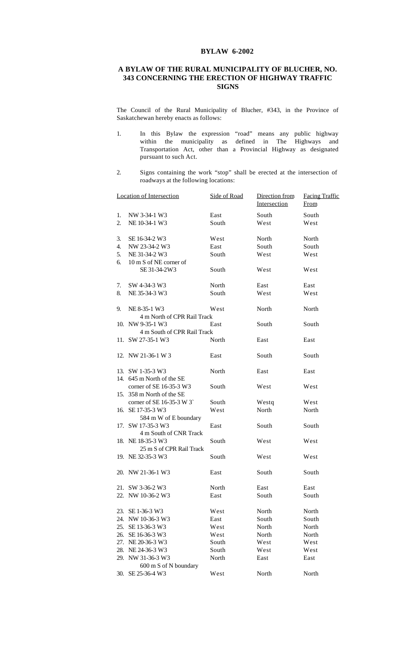## **BYLAW 6-2002**

## **A BYLAW OF THE RURAL MUNICIPALITY OF BLUCHER, NO. 343 CONCERNING THE ERECTION OF HIGHWAY TRAFFIC SIGNS**

The Council of the Rural Municipality of Blucher, #343, in the Province of Saskatchewan hereby enacts as follows:

- 1. In this Bylaw the expression "road" means any public highway within the municipality as defined in The Highways and Transportation Act, other than a Provincial Highway as designated pursuant to such Act.
- 2. Signs containing the work "stop" shall be erected at the intersection of roadways at the following locations:

|     | <b>Location of Intersection</b> | Side of Road | Direction from | <b>Facing Traffic</b> |
|-----|---------------------------------|--------------|----------------|-----------------------|
|     |                                 |              | Intersection   | From                  |
| 1.  | NW 3-34-1 W3                    | East         | South          | South                 |
| 2.  | NE 10-34-1 W3                   | South        | West           | West                  |
| 3.  | SE 16-34-2 W3                   | West         | North          | North                 |
| 4.  | NW 23-34-2 W3                   | East         | South          | South                 |
| 5.  | NE 31-34-2 W3                   | South        | West           | West                  |
| 6.  | 10 m S of NE corner of          |              |                |                       |
|     | SE 31-34-2W3                    | South        | West           | West                  |
| 7.  | SW 4-34-3 W3                    | North        | East           | East                  |
| 8.  | NE 35-34-3 W3                   | South        | West           | West                  |
| 9.  | NE 8-35-1 W3                    | West         | North          | North                 |
|     | 4 m North of CPR Rail Track     |              |                |                       |
|     | 10. NW 9-35-1 W3                | East         | South          | South                 |
|     | 4 m South of CPR Rail Track     |              |                |                       |
|     | 11. SW 27-35-1 W3               | North        | East           | East                  |
|     | 12. NW 21-36-1 W 3              | East         | South          | South                 |
|     | 13. SW 1-35-3 W3                | North        | East           | East                  |
|     | 14. 645 m North of the SE       |              |                |                       |
|     | corner of SE 16-35-3 W3         | South        | West           | West                  |
|     | 15. 358 m North of the SE       |              |                |                       |
|     | corner of SE 16-35-3 W 3        | South        | Westq          | West                  |
|     | 16. SE 17-35-3 W3               | West         | North          | North                 |
|     | 584 m W of E boundary           |              |                |                       |
|     | 17. SW 17-35-3 W3               | East         | South          | South                 |
|     | 4 m South of CNR Track          |              |                |                       |
|     | 18. NE 18-35-3 W3               | South        | West           | West                  |
|     | 25 m S of CPR Rail Track        |              |                |                       |
|     | 19. NE 32-35-3 W3               | South        | West           | West                  |
|     | 20. NW 21-36-1 W3               | East         | South          | South                 |
|     | 21. SW 3-36-2 W3                | North        | East           | East                  |
|     | 22. NW 10-36-2 W3               | East         | South          | South                 |
|     | 23. SE 1-36-3 W3                | West         | North          | North                 |
| 24. | NW 10-36-3 W3                   | East         | South          | South                 |
| 25. | SE 13-36-3 W3                   | West         | North          | North                 |
| 26. | SE 16-36-3 W3                   | West         | North          | North                 |
| 27. | NE 20-36-3 W3                   | South        | West           | West                  |
| 28. | NE 24-36-3 W3                   | South        | West           | West                  |
|     | 29. NW 31-36-3 W3               | North        | East           | East                  |
|     | 600 m S of N boundary           |              |                |                       |
| 30. | SE 25-36-4 W3                   | West         | North          | North                 |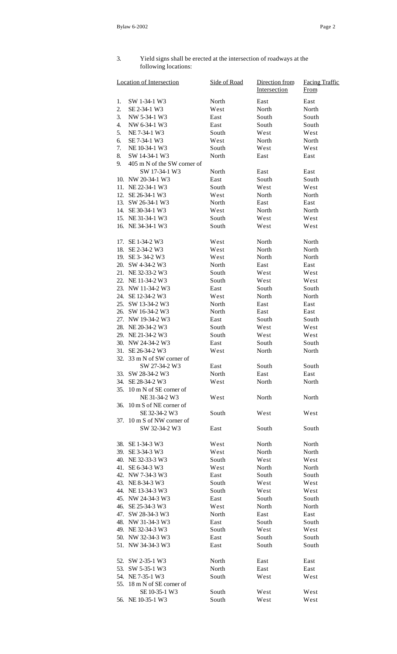## 3. Yield signs shall be erected at the intersection of roadways at the following locations:

|     | <b>Location of Intersection</b> | Side of Road | Direction from<br>Intersection | <b>Facing Traffic</b><br>From |
|-----|---------------------------------|--------------|--------------------------------|-------------------------------|
| 1.  | SW 1-34-1 W3                    | North        | East                           | East                          |
| 2.  | SE 2-34-1 W3                    | West         | North                          | North                         |
| 3.  | NW 5-34-1 W3                    | East         | South                          | South                         |
| 4.  | NW 6-34-1 W3                    | East         | South                          | South                         |
| 5.  | NE 7-34-1 W3                    | South        | West                           | West                          |
| 6.  | SE 7-34-1 W3                    | West         | North                          | North                         |
| 7.  | NE 10-34-1 W3                   | South        | West                           | West                          |
| 8.  | SW 14-34-1 W3                   | North        | East                           | East                          |
| 9.  | 405 m N of the SW corner of     |              |                                |                               |
|     | SW 17-34-1 W3                   | North        | East                           | East                          |
| 10. | NW 20-34-1 W3                   | East         | South                          | South                         |
|     | 11. NE 22-34-1 W3               | South        | West                           | West                          |
| 12. | SE 26-34-1 W3                   | West         | North                          | North                         |
|     | 13. SW 26-34-1 W3               | North        | East                           | East                          |
|     | 14. SE 30-34-1 W3               | West         | North                          | North                         |
|     | 15. NE 31-34-1 W3               | South        | West                           | West                          |
|     | 16. NE 34-34-1 W3               | South        | West                           | West                          |
|     | 17. SE 1-34-2 W3                | West         | North                          | North                         |
|     | 18. SE 2-34-2 W3                | West         | North                          | North                         |
|     | 19. SE 3-34-2 W3                | West         | North                          | North                         |
|     | 20. SW 4-34-2 W3                | North        | East                           | East                          |
|     | 21. NE 32-33-2 W3               | South        | West                           | West                          |
|     | 22. NE 11-34-2 W3               | South        | West                           | West                          |
|     | 23. NW 11-34-2 W3               | East         | South                          | South                         |
|     | 24. SE 12-34-2 W3               | West         | North                          | North                         |
|     | 25. SW 13-34-2 W3               | North        | East                           | East                          |
|     | 26. SW 16-34-2 W3               | North        | East                           | East                          |
| 27. | NW 19-34-2 W3                   | East         | South                          | South                         |
|     | 28. NE 20-34-2 W3               | South        | West                           | West                          |
|     | 29. NE 21-34-2 W3               | South        | West                           | West                          |
|     | 30. NW 24-34-2 W3               | East         | South                          | South                         |
|     | 31. SE 26-34-2 W3               | West         | North                          | North                         |
|     | 32. 33 m N of SW corner of      |              |                                |                               |
|     | SW 27-34-2 W3                   | East         | South                          | South                         |
|     | 33. SW 28-34-2 W3               | North        | East                           | East                          |
| 34. | SE 28-34-2 W3                   | West         | North                          | North                         |
| 35. | 10 m N of SE corner of          |              |                                |                               |
|     | NE 31-34-2 W3                   | West         | North                          | North                         |
| 36. | 10 m S of NE corner of          |              |                                |                               |
|     | SE 32-34-2 W3                   | South        | West                           | West                          |
|     | 37. 10 m S of NW corner of      |              |                                |                               |
|     | SW 32-34-2 W3                   | East         | South                          | South                         |
|     |                                 |              |                                |                               |
|     | 38. SE 1-34-3 W3                | West         | North                          | North                         |
| 39. | SE 3-34-3 W3                    | West         | North                          | North                         |
|     | 40. NE 32-33-3 W3               | South        | West                           | West                          |
|     | 41. SE 6-34-3 W3                | West         | North                          | North                         |
| 42. | NW 7-34-3 W3                    | East         | South                          | South                         |
|     | 43. NE 8-34-3 W3                | South        | West                           | West                          |
|     | 44. NE 13-34-3 W3               | South        | West                           | West                          |
|     | 45. NW 24-34-3 W3               | East         | South                          | South                         |
|     | 46. SE 25-34-3 W3               | West         | North                          | North                         |
|     | 47. SW 28-34-3 W3               | North        | East                           | East                          |
|     | 48. NW 31-34-3 W3               | East         | South                          | South                         |
|     | 49. NE 32-34-3 W3               | South        | West                           | West                          |
|     | 50. NW 32-34-3 W3               | East         | South                          | South                         |
|     | 51. NW 34-34-3 W3               | East         | South                          | South                         |
|     | 52. SW 2-35-1 W3                | North        | East                           | East                          |
| 53. | SW 5-35-1 W3                    | North        | East                           | East                          |
| 54. | NE 7-35-1 W3                    | South        | West                           | West                          |
| 55. | 18 m N of SE corner of          |              |                                |                               |
|     | SE 10-35-1 W3                   | South        | West                           | West                          |
|     | 56. NE 10-35-1 W3               | South        | West                           | West                          |
|     |                                 |              |                                |                               |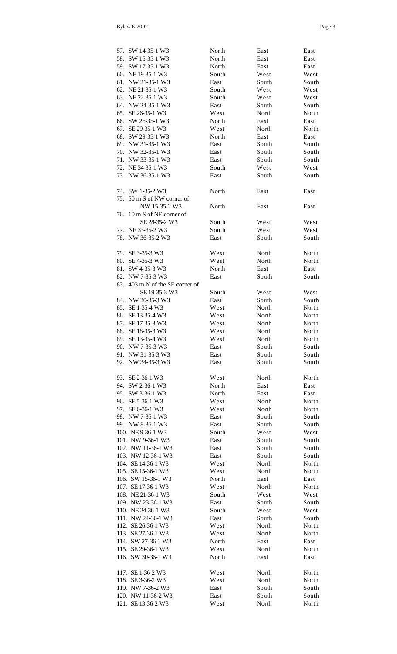|     | 57. SW 14-35-1 W3           | North | East  | East  |
|-----|-----------------------------|-------|-------|-------|
|     | 58. SW 15-35-1 W3           | North | East  | East  |
|     | 59. SW 17-35-1 W3           | North | East  | East  |
|     | 60. NE 19-35-1 W3           | South | West  | West  |
|     |                             |       |       |       |
|     | 61. NW 21-35-1 W3           | East  | South | South |
| 62. | NE 21-35-1 W3               | South | West  | West  |
|     | 63. NE 22-35-1 W3           | South | West  | West  |
|     | 64. NW 24-35-1 W3           | East  | South | South |
| 65. | SE 26-35-1 W3               | West  | North | North |
|     | 66. SW 26-35-1 W3           | North | East  | East  |
|     | 67. SE 29-35-1 W3           | West  | North | North |
|     |                             |       |       |       |
|     | 68. SW 29-35-1 W3           | North | East  | East  |
|     | 69. NW 31-35-1 W3           | East  | South | South |
|     | 70. NW 32-35-1 W3           | East  | South | South |
|     | 71. NW 33-35-1 W3           | East  | South | South |
|     | 72. NE 34-35-1 W3           | South | West  | West  |
| 73. | NW 36-35-1 W3               | East  | South | South |
|     |                             |       |       |       |
|     |                             |       |       |       |
|     | 74. SW 1-35-2 W3            | North | East  | East  |
| 75. | 50 m S of NW corner of      |       |       |       |
|     | NW 15-35-2 W3               | North | East  | East  |
| 76. | 10 m S of NE corner of      |       |       |       |
|     | SE 28-35-2 W3               | South | West  | West  |
|     |                             |       |       |       |
| 77. | NE 33-35-2 W3               | South | West  | West  |
| 78. | NW 36-35-2 W3               | East  | South | South |
|     |                             |       |       |       |
|     | 79. SE 3-35-3 W3            | West  | North | North |
|     | 80. SE 4-35-3 W3            | West  | North | North |
|     | 81. SW 4-35-3 W3            | North | East  | East  |
|     |                             |       |       |       |
|     | 82. NW 7-35-3 W3            | East  | South | South |
| 83. | 403 m N of the SE corner of |       |       |       |
|     | SE 19-35-3 W3               | South | West  | West  |
|     | 84. NW 20-35-3 W3           | East  | South | South |
| 85. | SE 1-35-4 W3                | West  | North | North |
|     | 86. SE 13-35-4 W3           | West  | North | North |
|     |                             |       |       |       |
| 87. | SE 17-35-3 W3               | West  | North | North |
| 88. | SE 18-35-3 W3               | West  | North | North |
| 89. | SE 13-35-4 W3               | West  | North | North |
| 90. | NW 7-35-3 W3                | East  | South | South |
| 91. | NW 31-35-3 W3               | East  | South | South |
| 92. | NW 34-35-3 W3               | East  | South | South |
|     |                             |       |       |       |
|     |                             |       |       |       |
| 93. | SE 2-36-1 W3                | West  | North | North |
|     | 94. SW 2-36-1 W3            | North | East  | East  |
|     | 95. SW 3-36-1 W3            | North | East  | East  |
|     | 96. SE 5-36-1 W3            | West  | North | North |
|     | 97. SE 6-36-1 W3            | West  | North | North |
|     |                             |       |       |       |
|     | 98. NW 7-36-1 W3            | East  | South | South |
|     | 99. NW 8-36-1 W3            | East  | South | South |
|     | 100. NE 9-36-1 W3           | South | West  | West  |
|     | 101. NW 9-36-1 W3           | East  | South | South |
|     | 102. NW 11-36-1 W3          | East  | South | South |
|     | 103. NW 12-36-1 W3          | East  | South | South |
|     |                             | West  |       | North |
|     | 104. SE 14-36-1 W3          |       | North |       |
|     | 105. SE 15-36-1 W3          | West  | North | North |
|     | 106. SW 15-36-1 W3          | North | East  | East  |
|     | 107. SE 17-36-1 W3          | West  | North | North |
|     | 108. NE 21-36-1 W3          | South | West  | West  |
|     | 109. NW 23-36-1 W3          | East  | South | South |
|     | 110. NE 24-36-1 W3          |       |       | West  |
|     |                             | South | West  |       |
|     | 111. NW 24-36-1 W3          | East  | South | South |
|     | 112. SE 26-36-1 W3          | West  | North | North |
|     | 113. SE 27-36-1 W3          | West  | North | North |
|     | 114. SW 27-36-1 W3          | North | East  | East  |
|     | 115. SE 29-36-1 W3          | West  | North | North |
|     | 116. SW 30-36-1 W3          | North | East  | East  |
|     |                             |       |       |       |
|     |                             |       |       |       |
|     | 117. SE 1-36-2 W3           | West  | North | North |
|     | 118. SE 3-36-2 W3           | West  | North | North |
|     | 119. NW 7-36-2 W3           | East  | South | South |
|     | 120. NW 11-36-2 W3          | East  | South | South |
|     | 121. SE 13-36-2 W3          | West  | North | North |
|     |                             |       |       |       |